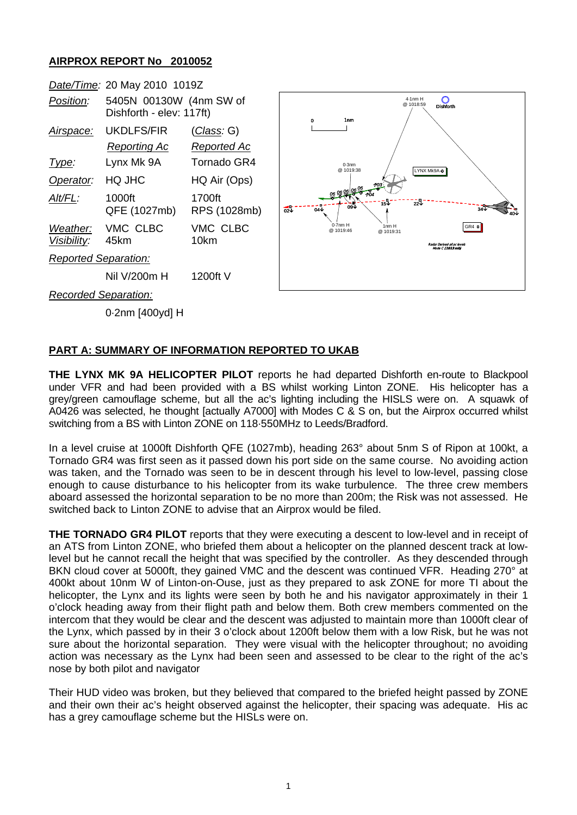## **AIRPROX REPORT No 2010052**

|                             |                         | Date/Time: 20 May 2010 1019Z                        |                                  |                                                  |  |
|-----------------------------|-------------------------|-----------------------------------------------------|----------------------------------|--------------------------------------------------|--|
|                             | Position:               | 5405N 00130W (4nm SW of<br>Dishforth - elev: 117ft) |                                  | $4.1$ nm $h$<br>@ 1018:5<br>1 <sub>nm</sub><br>0 |  |
|                             | Airspace:               | <b>UKDLFS/FIR</b><br>Reporting Ac                   | (Class: G)<br><b>Reported Ac</b> | $0.3$ nm<br>LYN<br>@ 1019:38                     |  |
|                             | Type:                   | Lynx Mk 9A                                          | Tornado GR4                      |                                                  |  |
|                             | Operator:               | HQ JHC                                              | HQ Air (Ops)                     |                                                  |  |
|                             | Alt/FL:                 | 1000ft<br>QFE (1027mb)                              | 1700ft<br>RPS (1028mb)           | ั⊋งี<br>15V<br>09V<br>ಹೆಾ<br>04V                 |  |
|                             | Weather:<br>Visibility: | VMC CLBC<br>45km                                    | VMC CLBC<br>10km                 | $0.7$ nm $H$<br>1nm H<br>@ 1019:46<br>@ 1019:31  |  |
| <b>Reported Separation:</b> |                         |                                                     |                                  |                                                  |  |
|                             |                         | Nil V/200m H                                        | 1200ft V                         |                                                  |  |
|                             | Recorded Separation:    |                                                     |                                  |                                                  |  |

0·2nm [400yd] H

## **PART A: SUMMARY OF INFORMATION REPORTED TO UKAB**

**THE LYNX MK 9A HELICOPTER PILOT** reports he had departed Dishforth en-route to Blackpool under VFR and had been provided with a BS whilst working Linton ZONE. His helicopter has a grey/green camouflage scheme, but all the ac's lighting including the HISLS were on. A squawk of A0426 was selected, he thought [actually A7000] with Modes C & S on, but the Airprox occurred whilst switching from a BS with Linton ZONE on 118·550MHz to Leeds/Bradford.

 $GRA$ 

 $344 - \sqrt{40}$ 

Radar Derived all ac levels Mode C **(1013 mb)**

4·1nm H  $@1018.59$ 

LYNX Mk9A +

 $\overline{O}$ 

In a level cruise at 1000ft Dishforth QFE (1027mb), heading 263° about 5nm S of Ripon at 100kt, a Tornado GR4 was first seen as it passed down his port side on the same course. No avoiding action was taken, and the Tornado was seen to be in descent through his level to low-level, passing close enough to cause disturbance to his helicopter from its wake turbulence. The three crew members aboard assessed the horizontal separation to be no more than 200m; the Risk was not assessed. He switched back to Linton ZONE to advise that an Airprox would be filed.

**THE TORNADO GR4 PILOT** reports that they were executing a descent to low-level and in receipt of an ATS from Linton ZONE, who briefed them about a helicopter on the planned descent track at lowlevel but he cannot recall the height that was specified by the controller. As they descended through BKN cloud cover at 5000ft, they gained VMC and the descent was continued VFR. Heading 270° at 400kt about 10nm W of Linton-on-Ouse, just as they prepared to ask ZONE for more TI about the helicopter, the Lynx and its lights were seen by both he and his navigator approximately in their 1 o'clock heading away from their flight path and below them. Both crew members commented on the intercom that they would be clear and the descent was adjusted to maintain more than 1000ft clear of the Lynx, which passed by in their 3 o'clock about 1200ft below them with a low Risk, but he was not sure about the horizontal separation. They were visual with the helicopter throughout; no avoiding action was necessary as the Lynx had been seen and assessed to be clear to the right of the ac's nose by both pilot and navigator

Their HUD video was broken, but they believed that compared to the briefed height passed by ZONE and their own their ac's height observed against the helicopter, their spacing was adequate. His ac has a grey camouflage scheme but the HISLs were on.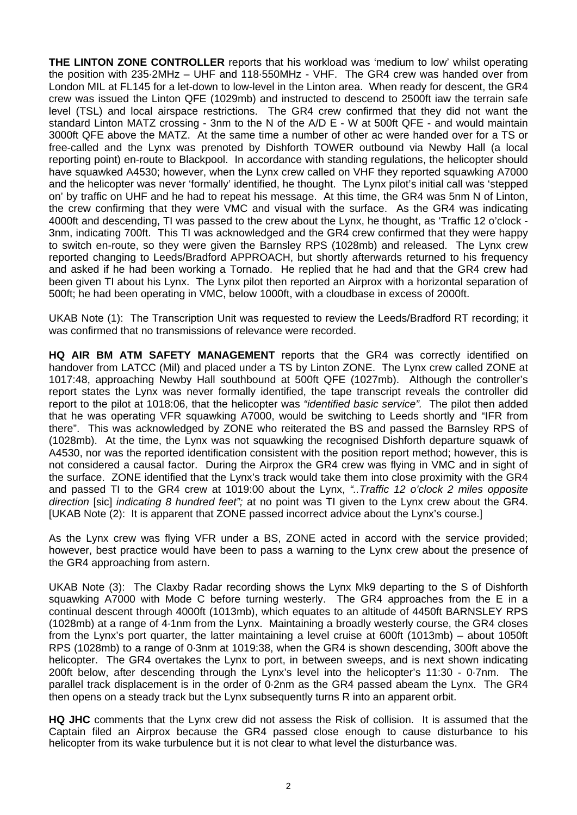**THE LINTON ZONE CONTROLLER** reports that his workload was 'medium to low' whilst operating the position with 235·2MHz – UHF and 118·550MHz - VHF. The GR4 crew was handed over from London MIL at FL145 for a let-down to low-level in the Linton area. When ready for descent, the GR4 crew was issued the Linton QFE (1029mb) and instructed to descend to 2500ft iaw the terrain safe level (TSL) and local airspace restrictions. The GR4 crew confirmed that they did not want the standard Linton MATZ crossing - 3nm to the N of the A/D E - W at 500ft QFE - and would maintain 3000ft QFE above the MATZ. At the same time a number of other ac were handed over for a TS or free-called and the Lynx was prenoted by Dishforth TOWER outbound via Newby Hall (a local reporting point) en-route to Blackpool. In accordance with standing regulations, the helicopter should have squawked A4530; however, when the Lynx crew called on VHF they reported squawking A7000 and the helicopter was never 'formally' identified, he thought. The Lynx pilot's initial call was 'stepped on' by traffic on UHF and he had to repeat his message. At this time, the GR4 was 5nm N of Linton, the crew confirming that they were VMC and visual with the surface. As the GR4 was indicating 4000ft and descending, TI was passed to the crew about the Lynx, he thought, as 'Traffic 12 o'clock - 3nm, indicating 700ft. This TI was acknowledged and the GR4 crew confirmed that they were happy to switch en-route, so they were given the Barnsley RPS (1028mb) and released. The Lynx crew reported changing to Leeds/Bradford APPROACH, but shortly afterwards returned to his frequency and asked if he had been working a Tornado. He replied that he had and that the GR4 crew had been given TI about his Lynx. The Lynx pilot then reported an Airprox with a horizontal separation of 500ft; he had been operating in VMC, below 1000ft, with a cloudbase in excess of 2000ft.

UKAB Note (1): The Transcription Unit was requested to review the Leeds/Bradford RT recording; it was confirmed that no transmissions of relevance were recorded.

**HQ AIR BM ATM SAFETY MANAGEMENT** reports that the GR4 was correctly identified on handover from LATCC (Mil) and placed under a TS by Linton ZONE. The Lynx crew called ZONE at 1017:48, approaching Newby Hall southbound at 500ft QFE (1027mb). Although the controller's report states the Lynx was never formally identified, the tape transcript reveals the controller did report to the pilot at 1018:06, that the helicopter was *"identified basic service".* The pilot then added that he was operating VFR squawking A7000, would be switching to Leeds shortly and "IFR from there". This was acknowledged by ZONE who reiterated the BS and passed the Barnsley RPS of (1028mb). At the time, the Lynx was not squawking the recognised Dishforth departure squawk of A4530, nor was the reported identification consistent with the position report method; however, this is not considered a causal factor. During the Airprox the GR4 crew was flying in VMC and in sight of the surface. ZONE identified that the Lynx's track would take them into close proximity with the GR4 and passed TI to the GR4 crew at 1019:00 about the Lynx, *"..Traffic 12 o'clock 2 miles opposite direction* [sic] *indicating 8 hundred feet";* at no point was TI given to the Lynx crew about the GR4. [UKAB Note (2): It is apparent that ZONE passed incorrect advice about the Lynx's course.]

As the Lynx crew was flying VFR under a BS, ZONE acted in accord with the service provided; however, best practice would have been to pass a warning to the Lynx crew about the presence of the GR4 approaching from astern.

UKAB Note (3): The Claxby Radar recording shows the Lynx Mk9 departing to the S of Dishforth squawking A7000 with Mode C before turning westerly. The GR4 approaches from the E in a continual descent through 4000ft (1013mb), which equates to an altitude of 4450ft BARNSLEY RPS (1028mb) at a range of 4·1nm from the Lynx. Maintaining a broadly westerly course, the GR4 closes from the Lynx's port quarter, the latter maintaining a level cruise at 600ft (1013mb) – about 1050ft RPS (1028mb) to a range of 0·3nm at 1019:38, when the GR4 is shown descending, 300ft above the helicopter. The GR4 overtakes the Lynx to port, in between sweeps, and is next shown indicating 200ft below, after descending through the Lynx's level into the helicopter's 11:30 - 0·7nm. The parallel track displacement is in the order of 0·2nm as the GR4 passed abeam the Lynx. The GR4 then opens on a steady track but the Lynx subsequently turns R into an apparent orbit.

**HQ JHC** comments that the Lynx crew did not assess the Risk of collision. It is assumed that the Captain filed an Airprox because the GR4 passed close enough to cause disturbance to his helicopter from its wake turbulence but it is not clear to what level the disturbance was.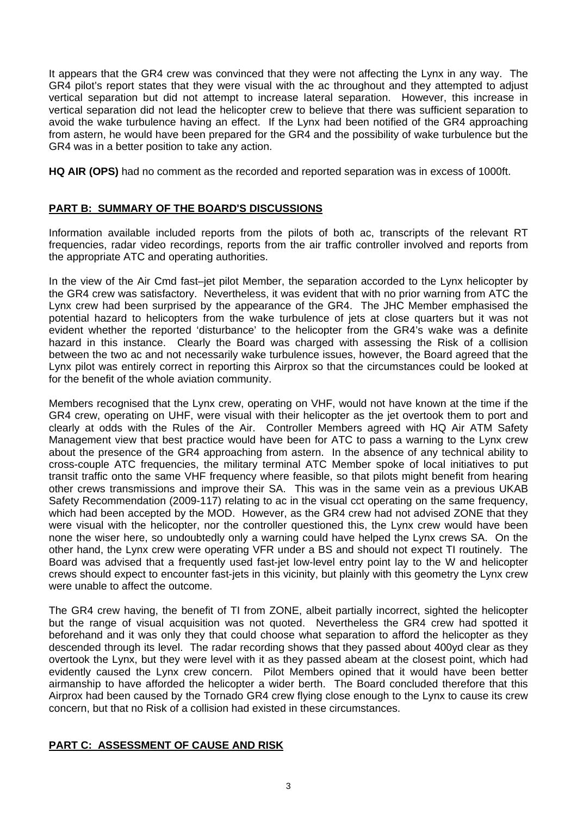It appears that the GR4 crew was convinced that they were not affecting the Lynx in any way. The GR4 pilot's report states that they were visual with the ac throughout and they attempted to adjust vertical separation but did not attempt to increase lateral separation. However, this increase in vertical separation did not lead the helicopter crew to believe that there was sufficient separation to avoid the wake turbulence having an effect. If the Lynx had been notified of the GR4 approaching from astern, he would have been prepared for the GR4 and the possibility of wake turbulence but the GR4 was in a better position to take any action.

**HQ AIR (OPS)** had no comment as the recorded and reported separation was in excess of 1000ft.

## **PART B: SUMMARY OF THE BOARD'S DISCUSSIONS**

Information available included reports from the pilots of both ac, transcripts of the relevant RT frequencies, radar video recordings, reports from the air traffic controller involved and reports from the appropriate ATC and operating authorities.

In the view of the Air Cmd fast–jet pilot Member, the separation accorded to the Lynx helicopter by the GR4 crew was satisfactory. Nevertheless, it was evident that with no prior warning from ATC the Lynx crew had been surprised by the appearance of the GR4. The JHC Member emphasised the potential hazard to helicopters from the wake turbulence of jets at close quarters but it was not evident whether the reported 'disturbance' to the helicopter from the GR4's wake was a definite hazard in this instance. Clearly the Board was charged with assessing the Risk of a collision between the two ac and not necessarily wake turbulence issues, however, the Board agreed that the Lynx pilot was entirely correct in reporting this Airprox so that the circumstances could be looked at for the benefit of the whole aviation community.

Members recognised that the Lynx crew, operating on VHF, would not have known at the time if the GR4 crew, operating on UHF, were visual with their helicopter as the jet overtook them to port and clearly at odds with the Rules of the Air. Controller Members agreed with HQ Air ATM Safety Management view that best practice would have been for ATC to pass a warning to the Lynx crew about the presence of the GR4 approaching from astern. In the absence of any technical ability to cross-couple ATC frequencies, the military terminal ATC Member spoke of local initiatives to put transit traffic onto the same VHF frequency where feasible, so that pilots might benefit from hearing other crews transmissions and improve their SA. This was in the same vein as a previous UKAB Safety Recommendation (2009-117) relating to ac in the visual cct operating on the same frequency, which had been accepted by the MOD. However, as the GR4 crew had not advised ZONE that they were visual with the helicopter, nor the controller questioned this, the Lynx crew would have been none the wiser here, so undoubtedly only a warning could have helped the Lynx crews SA. On the other hand, the Lynx crew were operating VFR under a BS and should not expect TI routinely. The Board was advised that a frequently used fast-jet low-level entry point lay to the W and helicopter crews should expect to encounter fast-jets in this vicinity, but plainly with this geometry the Lynx crew were unable to affect the outcome.

The GR4 crew having, the benefit of TI from ZONE, albeit partially incorrect, sighted the helicopter but the range of visual acquisition was not quoted. Nevertheless the GR4 crew had spotted it beforehand and it was only they that could choose what separation to afford the helicopter as they descended through its level. The radar recording shows that they passed about 400yd clear as they overtook the Lynx, but they were level with it as they passed abeam at the closest point, which had evidently caused the Lynx crew concern. Pilot Members opined that it would have been better airmanship to have afforded the helicopter a wider berth. The Board concluded therefore that this Airprox had been caused by the Tornado GR4 crew flying close enough to the Lynx to cause its crew concern, but that no Risk of a collision had existed in these circumstances.

## **PART C: ASSESSMENT OF CAUSE AND RISK**